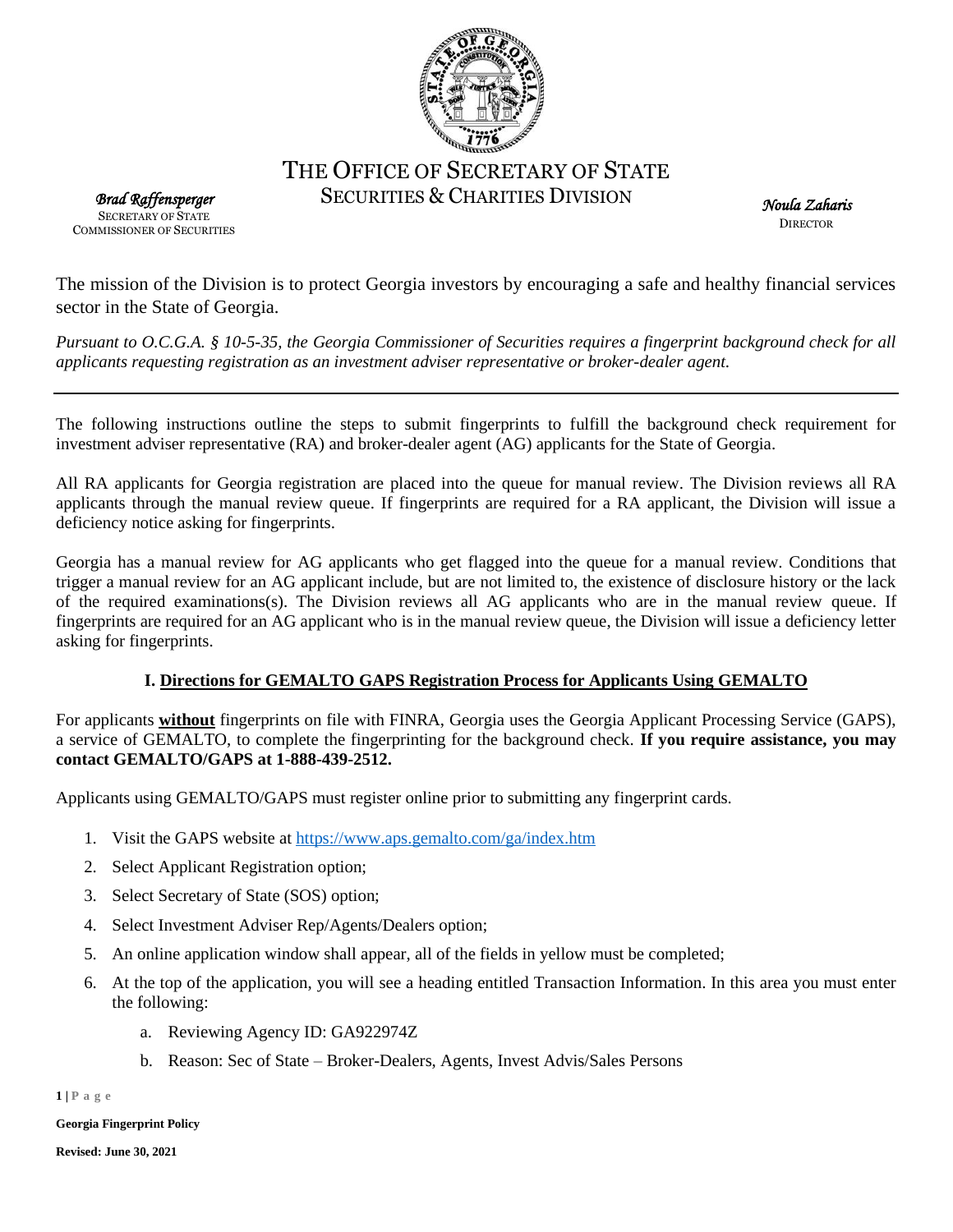

# THE OFFICE OF SECRETARY OF STATE SECURITIES & CHARITIES DIVISION

*Brad Raffensperger*  SECRETARY OF STATE COMMISSIONER OF SECURITIES

*Noula Zaharis*  **DIRECTOR** 

The mission of the Division is to protect Georgia investors by encouraging a safe and healthy financial services sector in the State of Georgia.

*Pursuant to O.C.G.A. § 10-5-35, the Georgia Commissioner of Securities requires a fingerprint background check for all applicants requesting registration as an investment adviser representative or broker-dealer agent.*

The following instructions outline the steps to submit fingerprints to fulfill the background check requirement for investment adviser representative (RA) and broker-dealer agent (AG) applicants for the State of Georgia.

All RA applicants for Georgia registration are placed into the queue for manual review. The Division reviews all RA applicants through the manual review queue. If fingerprints are required for a RA applicant, the Division will issue a deficiency notice asking for fingerprints.

Georgia has a manual review for AG applicants who get flagged into the queue for a manual review. Conditions that trigger a manual review for an AG applicant include, but are not limited to, the existence of disclosure history or the lack of the required examinations(s). The Division reviews all AG applicants who are in the manual review queue. If fingerprints are required for an AG applicant who is in the manual review queue, the Division will issue a deficiency letter asking for fingerprints.

## **I. Directions for GEMALTO GAPS Registration Process for Applicants Using GEMALTO**

For applicants **without** fingerprints on file with FINRA, Georgia uses the Georgia Applicant Processing Service (GAPS), a service of GEMALTO, to complete the fingerprinting for the background check. **If you require assistance, you may contact GEMALTO/GAPS at 1-888-439-2512.**

Applicants using GEMALTO/GAPS must register online prior to submitting any fingerprint cards.

- 1. Visit the GAPS website at<https://www.aps.gemalto.com/ga/index.htm>
- 2. Select Applicant Registration option;
- 3. Select Secretary of State (SOS) option;
- 4. Select Investment Adviser Rep/Agents/Dealers option;
- 5. An online application window shall appear, all of the fields in yellow must be completed;
- 6. At the top of the application, you will see a heading entitled Transaction Information. In this area you must enter the following:
	- a. Reviewing Agency ID: GA922974Z
	- b. Reason: Sec of State Broker-Dealers, Agents, Invest Advis/Sales Persons

**1 | P a g e**